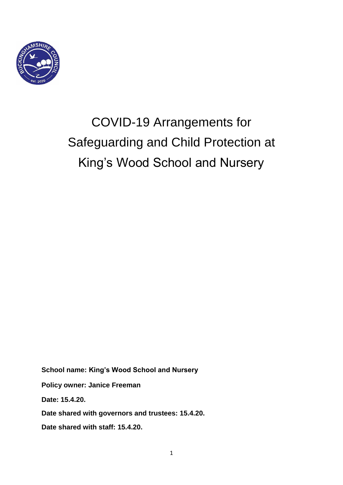

# COVID-19 Arrangements for Safeguarding and Child Protection at King's Wood School and Nursery

**School name: King's Wood School and Nursery Policy owner: Janice Freeman**

**Date: 15.4.20.**

**Date shared with governors and trustees: 15.4.20.**

**Date shared with staff: 15.4.20.**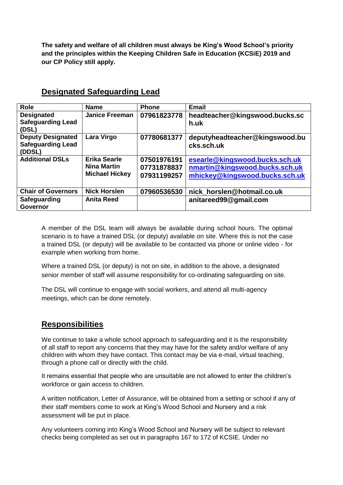**The safety and welfare of all children must always be King's Wood School's priority and the principles within the Keeping Children Safe in Education (KCSiE) 2019 and our CP Policy still apply.** 

| <b>Role</b>                                                    | <b>Name</b>                                                        | <b>Phone</b>                              | <b>Email</b>                                                                                       |
|----------------------------------------------------------------|--------------------------------------------------------------------|-------------------------------------------|----------------------------------------------------------------------------------------------------|
| <b>Designated</b><br><b>Safeguarding Lead</b><br>(DSL)         | <b>Janice Freeman</b>                                              | 07961823778                               | headteacher@kingswood.bucks.sc<br>h.uk                                                             |
| <b>Deputy Designated</b><br><b>Safeguarding Lead</b><br>(DDSL) | Lara Virgo                                                         | 07780681377                               | deputyheadteacher@kingswood.bu<br>cks.sch.uk                                                       |
| <b>Additional DSLs</b>                                         | <b>Erika Searle</b><br><b>Nina Martin</b><br><b>Michael Hickey</b> | 07501976191<br>07731878837<br>07931199257 | esearle@kingswood.bucks.sch.uk<br>nmartin@kingswood.bucks.sch.uk<br>mhickey@kingswood.bucks.sch.uk |
| <b>Chair of Governors</b>                                      | <b>Nick Horslen</b>                                                | 07960536530                               | nick_horslen@hotmail.co.uk                                                                         |
| Safeguarding<br><b>Governor</b>                                | <b>Anita Reed</b>                                                  |                                           | anitareed99@gmail.com                                                                              |

#### **Designated Safeguarding Lead**

A member of the DSL team will always be available during school hours. The optimal scenario is to have a trained DSL (or deputy) available on site. Where this is not the case a trained DSL (or deputy) will be available to be contacted via phone or online video - for example when working from home.

Where a trained DSL (or deputy) is not on site, in addition to the above, a designated senior member of staff will assume responsibility for co-ordinating safeguarding on site.

The DSL will continue to engage with social workers, and attend all multi-agency meetings, which can be done remotely.

### **Responsibilities**

We continue to take a whole school approach to safeguarding and it is the responsibility of all staff to report any concerns that they may have for the safety and/or welfare of any children with whom they have contact. This contact may be via e-mail, virtual teaching, through a phone call or directly with the child.

It remains essential that people who are unsuitable are not allowed to enter the children's workforce or gain access to children.

A written notification, Letter of Assurance, will be obtained from a setting or school if any of their staff members come to work at King's Wood School and Nursery and a risk assessment will be put in place.

Any volunteers coming into King's Wood School and Nursery will be subject to relevant checks being completed as set out in paragraphs 167 to 172 of KCSIE. Under no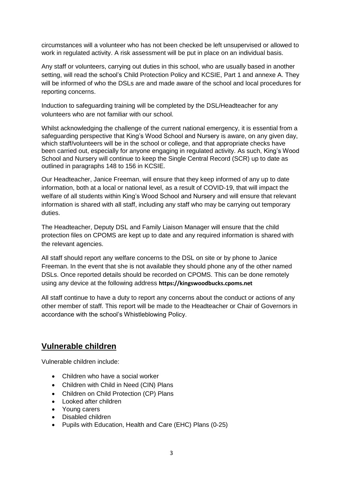circumstances will a volunteer who has not been checked be left unsupervised or allowed to work in regulated activity. A risk assessment will be put in place on an individual basis.

Any staff or volunteers, carrying out duties in this school, who are usually based in another setting, will read the school's Child Protection Policy and KCSIE, Part 1 and annexe A. They will be informed of who the DSLs are and made aware of the school and local procedures for reporting concerns.

Induction to safeguarding training will be completed by the DSL/Headteacher for any volunteers who are not familiar with our school.

Whilst acknowledging the challenge of the current national emergency, it is essential from a safeguarding perspective that King's Wood School and Nursery is aware, on any given day, which staff/volunteers will be in the school or college, and that appropriate checks have been carried out, especially for anyone engaging in regulated activity. As such, King's Wood School and Nursery will continue to keep the Single Central Record (SCR) up to date as outlined in paragraphs 148 to 156 in KCSIE.

Our Headteacher, Janice Freeman, will ensure that they keep informed of any up to date information, both at a local or national level, as a result of COVID-19, that will impact the welfare of all students within King's Wood School and Nursery and will ensure that relevant information is shared with all staff, including any staff who may be carrying out temporary duties.

The Headteacher, Deputy DSL and Family Liaison Manager will ensure that the child protection files on CPOMS are kept up to date and any required information is shared with the relevant agencies.

All staff should report any welfare concerns to the DSL on site or by phone to Janice Freeman. In the event that she is not available they should phone any of the other named DSLs. Once reported details should be recorded on CPOMS. This can be done remotely using any device at the following address **https://kingswoodbucks.cpoms.net**

All staff continue to have a duty to report any concerns about the conduct or actions of any other member of staff. This report will be made to the Headteacher or Chair of Governors in accordance with the school's Whistleblowing Policy.

### **Vulnerable children**

Vulnerable children include:

- Children who have a social worker
- Children with Child in Need (CIN) Plans
- Children on Child Protection (CP) Plans
- Looked after children
- Young carers
- Disabled children
- Pupils with Education, Health and Care (EHC) Plans (0-25)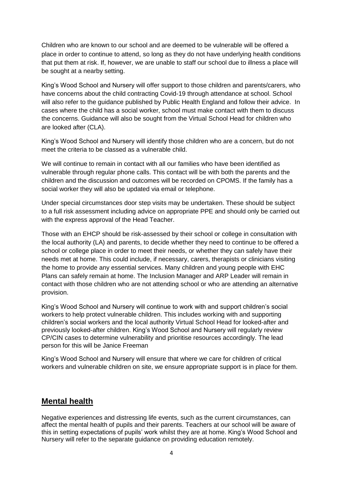Children who are known to our school and are deemed to be vulnerable will be offered a place in order to continue to attend, so long as they do not have underlying health conditions that put them at risk. If, however, we are unable to staff our school due to illness a place will be sought at a nearby setting.

King's Wood School and Nursery will offer support to those children and parents/carers, who have concerns about the child contracting Covid-19 through attendance at school. School will also refer to the guidance published by Public Health England and follow their advice. In cases where the child has a social worker, school must make contact with them to discuss the concerns. Guidance will also be sought from the Virtual School Head for children who are looked after (CLA).

King's Wood School and Nursery will identify those children who are a concern, but do not meet the criteria to be classed as a vulnerable child.

We will continue to remain in contact with all our families who have been identified as vulnerable through regular phone calls. This contact will be with both the parents and the children and the discussion and outcomes will be recorded on CPOMS. If the family has a social worker they will also be updated via email or telephone.

Under special circumstances door step visits may be undertaken. These should be subject to a full risk assessment including advice on appropriate PPE and should only be carried out with the express approval of the Head Teacher.

Those with an EHCP should be risk-assessed by their school or college in consultation with the local authority (LA) and parents, to decide whether they need to continue to be offered a school or college place in order to meet their needs, or whether they can safely have their needs met at home. This could include, if necessary, carers, therapists or clinicians visiting the home to provide any essential services. Many children and young people with EHC Plans can safely remain at home. The Inclusion Manager and ARP Leader will remain in contact with those children who are not attending school or who are attending an alternative provision.

King's Wood School and Nursery will continue to work with and support children's social workers to help protect vulnerable children. This includes working with and supporting children's social workers and the local authority Virtual School Head for looked-after and previously looked-after children. King's Wood School and Nursery will regularly review CP/CIN cases to determine vulnerability and prioritise resources accordingly. The lead person for this will be Janice Freeman

King's Wood School and Nursery will ensure that where we care for children of critical workers and vulnerable children on site, we ensure appropriate support is in place for them.

### **Mental health**

Negative experiences and distressing life events, such as the current circumstances, can affect the mental health of pupils and their parents. Teachers at our school will be aware of this in setting expectations of pupils' work whilst they are at home. King's Wood School and Nursery will refer to the separate guidance on providing education remotely.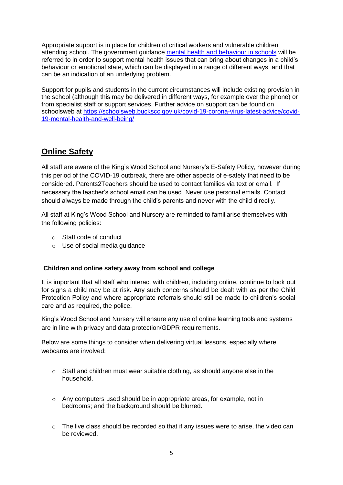Appropriate support is in place for children of critical workers and vulnerable children attending school. The government guidance [mental health and behaviour in schools](https://www.gov.uk/government/publications/mental-health-and-behaviour-in-schools--2) will be referred to in order to support mental health issues that can bring about changes in a child's behaviour or emotional state, which can be displayed in a range of different ways, and that can be an indication of an underlying problem.

Support for pupils and students in the current circumstances will include existing provision in the school (although this may be delivered in different ways, for example over the phone) or from specialist staff or support services. Further advice on support can be found on schoolsweb at [https://schoolsweb.buckscc.gov.uk/covid-19-corona-virus-latest-advice/covid-](https://schoolsweb.buckscc.gov.uk/covid-19-corona-virus-latest-advice/covid-19-mental-health-and-well-being/)[19-mental-health-and-well-being/](https://schoolsweb.buckscc.gov.uk/covid-19-corona-virus-latest-advice/covid-19-mental-health-and-well-being/)

### **Online Safety**

All staff are aware of the King's Wood School and Nursery's E-Safety Policy, however during this period of the COVID-19 outbreak, there are other aspects of e-safety that need to be considered. Parents2Teachers should be used to contact families via text or email. If necessary the teacher's school email can be used. Never use personal emails. Contact should always be made through the child's parents and never with the child directly.

All staff at King's Wood School and Nursery are reminded to familiarise themselves with the following policies:

- o Staff code of conduct
- o Use of social media guidance

#### **Children and online safety away from school and college**

It is important that all staff who interact with children, including online, continue to look out for signs a child may be at risk. Any such concerns should be dealt with as per the Child Protection Policy and where appropriate referrals should still be made to children's social care and as required, the police.

King's Wood School and Nursery will ensure any use of online learning tools and systems are in line with privacy and data protection/GDPR requirements.

Below are some things to consider when delivering virtual lessons, especially where webcams are involved:

- $\circ$  Staff and children must wear suitable clothing, as should anyone else in the household.
- o Any computers used should be in appropriate areas, for example, not in bedrooms; and the background should be blurred.
- $\circ$  The live class should be recorded so that if any issues were to arise, the video can be reviewed.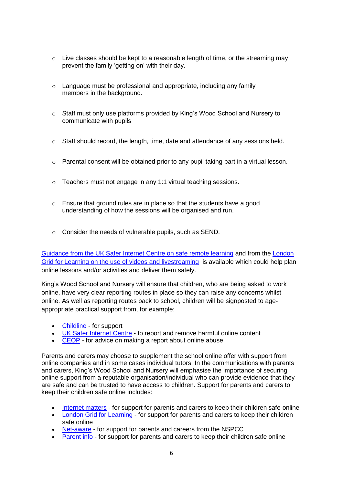- $\circ$  Live classes should be kept to a reasonable length of time, or the streaming may prevent the family 'getting on' with their day.
- o Language must be professional and appropriate, including any family members in the background.
- o Staff must only use platforms provided by King's Wood School and Nursery to communicate with pupils
- o Staff should record, the length, time, date and attendance of any sessions held.
- $\circ$  Parental consent will be obtained prior to any pupil taking part in a virtual lesson.
- o Teachers must not engage in any 1:1 virtual teaching sessions.
- $\circ$  Ensure that ground rules are in place so that the students have a good understanding of how the sessions will be organised and run.
- o Consider the needs of vulnerable pupils, such as SEND.

[Guidance from the UK Safer Internet Centre on safe remote learning](https://swgfl.org.uk/resources/safe-remote-learning/) and from the [London](https://static.lgfl.net/LgflNet/downloads/digisafe/Safe-Lessons-by-Video-and-Livestream.pdf)  [Grid for Learning on the use of videos and livestreaming](https://static.lgfl.net/LgflNet/downloads/digisafe/Safe-Lessons-by-Video-and-Livestream.pdf) is available which could help plan online lessons and/or activities and deliver them safely.

King's Wood School and Nursery will ensure that children, who are being asked to work online, have very clear reporting routes in place so they can raise any concerns whilst online. As well as reporting routes back to school, children will be signposted to ageappropriate practical support from, for example:

- [Childline](https://www.childline.org.uk/?utm_source=google&utm_medium=cpc&utm_campaign=UK_GO_S_B_BND_Grant_Childline_Information&utm_term=role_of_childline&gclsrc=aw.ds&&gclid=EAIaIQobChMIlfLRh-ez6AIVRrDtCh1N9QR2EAAYASAAEgLc-vD_BwE&gclsrc=aw.ds) for support
- [UK Safer Internet Centre](https://reportharmfulcontent.com/) to report and remove harmful online content
- [CEOP](https://www.ceop.police.uk/safety-centre/) for advice on making a report about online abuse

Parents and carers may choose to supplement the school online offer with support from online companies and in some cases individual tutors. In the communications with parents and carers, King's Wood School and Nursery will emphasise the importance of securing online support from a reputable organisation/individual who can provide evidence that they are safe and can be trusted to have access to children. Support for parents and carers to keep their children safe online includes:

- [Internet matters](https://www.internetmatters.org/?gclid=EAIaIQobChMIktuA5LWK2wIVRYXVCh2afg2aEAAYASAAEgIJ5vD_BwE) for support for parents and carers to keep their children safe online
- [London Grid for Learning](http://www.lgfl.net/online-safety/) for support for parents and carers to keep their children safe online
- [Net-aware](https://www.net-aware.org.uk/) for support for parents and careers from the NSPCC
- [Parent info](https://parentinfo.org/) for support for parents and carers to keep their children safe online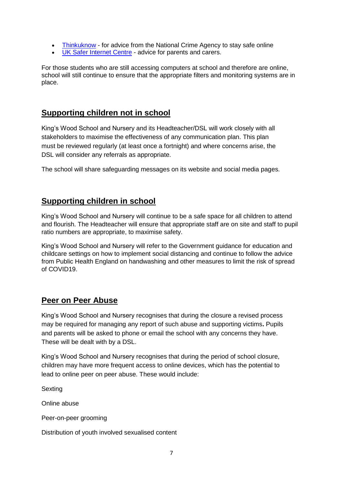- [Thinkuknow](http://www.thinkuknow.co.uk/) for advice from the National Crime Agency to stay safe online
- [UK Safer Internet Centre](https://www.saferinternet.org.uk/advice-centre/parents-and-carers) advice for parents and carers.

For those students who are still accessing computers at school and therefore are online, school will still continue to ensure that the appropriate filters and monitoring systems are in place.

## **Supporting children not in school**

King's Wood School and Nursery and its Headteacher/DSL will work closely with all stakeholders to maximise the effectiveness of any communication plan. This plan must be reviewed regularly (at least once a fortnight) and where concerns arise, the DSL will consider any referrals as appropriate.

The school will share safeguarding messages on its website and social media pages.

### **Supporting children in school**

King's Wood School and Nursery will continue to be a safe space for all children to attend and flourish. The Headteacher will ensure that appropriate staff are on site and staff to pupil ratio numbers are appropriate, to maximise safety.

King's Wood School and Nursery will refer to the Government guidance for education and childcare settings on how to implement social distancing and continue to follow the advice from Public Health England on handwashing and other measures to limit the risk of spread of COVID19.

### **Peer on Peer Abuse**

King's Wood School and Nursery recognises that during the closure a revised process may be required for managing any report of such abuse and supporting victims**.** Pupils and parents will be asked to phone or email the school with any concerns they have. These will be dealt with by a DSL.

King's Wood School and Nursery recognises that during the period of school closure, children may have more frequent access to online devices, which has the potential to lead to online peer on peer abuse. These would include:

**Sexting** 

Online abuse

Peer-on-peer grooming

Distribution of youth involved sexualised content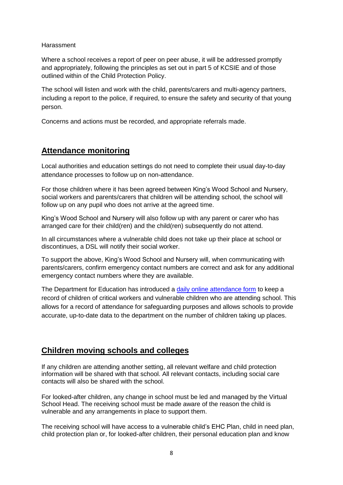#### Harassment

Where a school receives a report of peer on peer abuse, it will be addressed promptly and appropriately, following the principles as set out in part 5 of KCSIE and of those outlined within of the Child Protection Policy.

The school will listen and work with the child, parents/carers and multi-agency partners, including a report to the police, if required, to ensure the safety and security of that young person.

Concerns and actions must be recorded, and appropriate referrals made.

### **Attendance monitoring**

Local authorities and education settings do not need to complete their usual day-to-day attendance processes to follow up on non-attendance.

For those children where it has been agreed between King's Wood School and Nursery, social workers and parents/carers that children will be attending school, the school will follow up on any pupil who does not arrive at the agreed time.

King's Wood School and Nursery will also follow up with any parent or carer who has arranged care for their child(ren) and the child(ren) subsequently do not attend.

In all circumstances where a vulnerable child does not take up their place at school or discontinues, a DSL will notify their social worker.

To support the above, King's Wood School and Nursery will, when communicating with parents/carers, confirm emergency contact numbers are correct and ask for any additional emergency contact numbers where they are available.

The Department for Education has introduced a [daily online attendance form](https://www.gov.uk/government/publications/coronavirus-covid-19-attendance-recording-for-educational-settings) to keep a record of children of critical workers and vulnerable children who are attending school. This allows for a record of attendance for safeguarding purposes and allows schools to provide accurate, up-to-date data to the department on the number of children taking up places.

#### **Children moving schools and colleges**

If any children are attending another setting, all relevant welfare and child protection information will be shared with that school. All relevant contacts, including social care contacts will also be shared with the school.

For looked-after children, any change in school must be led and managed by the Virtual School Head. The receiving school must be made aware of the reason the child is vulnerable and any arrangements in place to support them.

The receiving school will have access to a vulnerable child's EHC Plan, child in need plan, child protection plan or, for looked-after children, their personal education plan and know